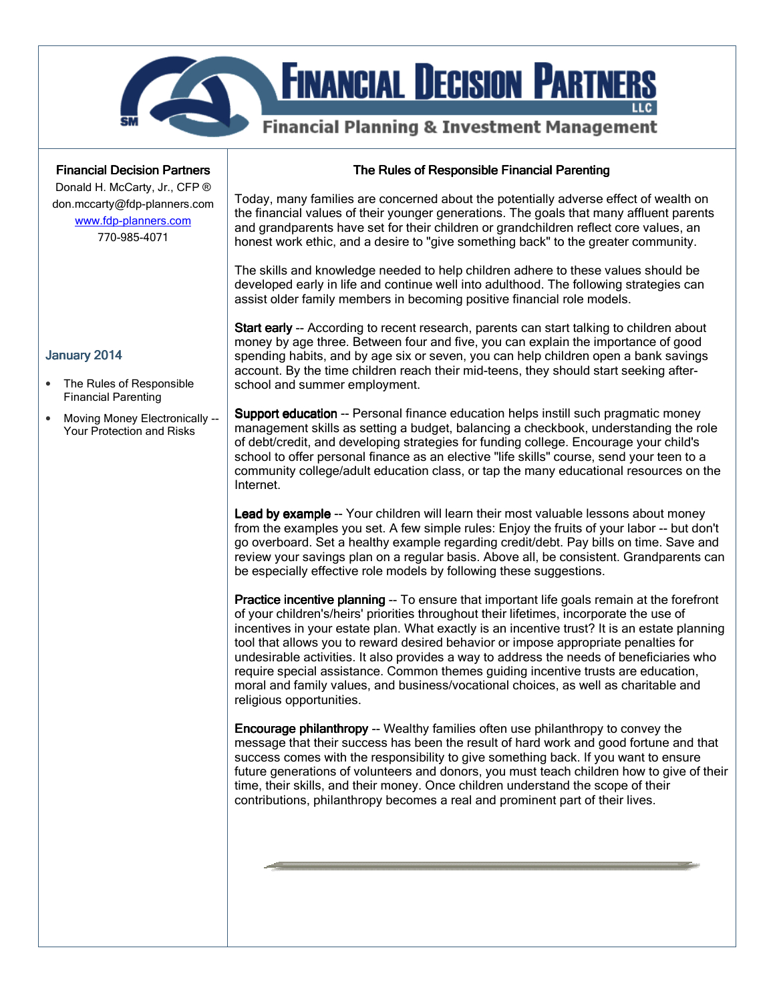

### **Financial Decision Partners**

Donald H. McCarty, Jr., CFP ® don.mccarty@fdp-planners.com www.fdp-planners.com

770-985-4071

### The Rules of Responsible Financial Parenting

Today, many families are concerned about the potentially adverse effect of wealth on the financial values of their younger generations. The goals that many affluent parents and grandparents have set for their children or grandchildren reflect core values, an honest work ethic, and a desire to "give something back" to the greater community.

The skills and knowledge needed to help children adhere to these values should be developed early in life and continue well into adulthood. The following strategies can assist older family members in becoming positive financial role models.

Start early -- According to recent research, parents can start talking to children about money by age three. Between four and five, you can explain the importance of good spending habits, and by age six or seven, you can help children open a bank savings account. By the time children reach their mid-teens, they should start seeking afterschool and summer employment.

**Support education** -- Personal finance education helps instill such pragmatic money management skills as setting a budget, balancing a checkbook, understanding the role of debt/credit, and developing strategies for funding college. Encourage your child's school to offer personal finance as an elective "life skills" course, send your teen to a community college/adult education class, or tap the many educational resources on the Internet.

Lead by example -- Your children will learn their most valuable lessons about money from the examples you set. A few simple rules: Enjoy the fruits of your labor -- but don't go overboard. Set a healthy example regarding credit/debt. Pay bills on time. Save and review your savings plan on a regular basis. Above all, be consistent. Grandparents can be especially effective role models by following these suggestions.

Practice incentive planning -- To ensure that important life goals remain at the forefront of your children's/heirs' priorities throughout their lifetimes, incorporate the use of incentives in your estate plan. What exactly is an incentive trust? It is an estate planning tool that allows you to reward desired behavior or impose appropriate penalties for undesirable activities. It also provides a way to address the needs of beneficiaries who require special assistance. Common themes guiding incentive trusts are education, moral and family values, and business/vocational choices, as well as charitable and religious opportunities.

Encourage philanthropy -- Wealthy families often use philanthropy to convey the message that their success has been the result of hard work and good fortune and that success comes with the responsibility to give something back. If you want to ensure future generations of volunteers and donors, you must teach children how to give of their time, their skills, and their money. Once children understand the scope of their contributions, philanthropy becomes a real and prominent part of their lives.

#### January 2014

- The Rules of Responsible Financial Parenting
- Moving Money Electronically -- Your Protection and Risks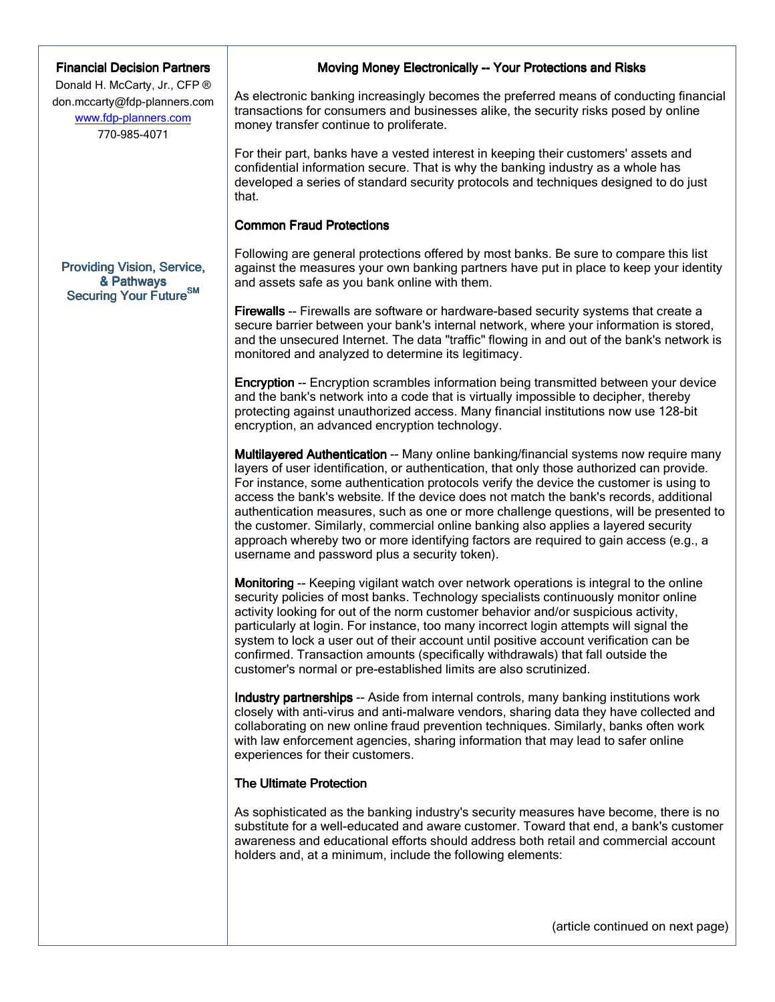### **Financial Decision Partners**

Donald H. McCarty, Jr., CFP ® don.mccarty@fdp-planners.com www.fdp-planners.com 770-985-4071

### Providing Vision, Service, & Pathways Securing Your Future<sup>SM</sup>

# Moving Money Electronically -- Your Protections and Risks

As electronic banking increasingly becomes the preferred means of conducting financial transactions for consumers and businesses alike, the security risks posed by online money transfer continue to proliferate.

For their part, banks have a vested interest in keeping their customers' assets and confidential information secure. That is why the banking industry as a whole has developed a series of standard security protocols and techniques designed to do just that.

## **Common Fraud Protections**

Following are general protections offered by most banks. Be sure to compare this list against the measures your own banking partners have put in place to keep your identity and assets safe as you bank online with them.

Firewalls -- Firewalls are software or hardware-based security systems that create a secure barrier between your bank's internal network, where your information is stored, and the unsecured Internet. The data "traffic" flowing in and out of the bank's network is monitored and analyzed to determine its legitimacy.

Encryption -- Encryption scrambles information being transmitted between your device and the bank's network into a code that is virtually impossible to decipher, thereby protecting against unauthorized access. Many financial institutions now use 128-bit encryption, an advanced encryption technology.

Multilayered Authentication -- Many online banking/financial systems now require many layers of user identification, or authentication, that only those authorized can provide. For instance, some authentication protocols verify the device the customer is using to access the bank's website. If the device does not match the bank's records, additional authentication measures, such as one or more challenge questions, will be presented to the customer. Similarly, commercial online banking also applies a layered security approach whereby two or more identifying factors are required to gain access (e.g., a username and password plus a security token).

**Monitoring** -- Keeping vigilant watch over network operations is integral to the online security policies of most banks. Technology specialists continuously monitor online activity looking for out of the norm customer behavior and/or suspicious activity, particularly at login. For instance, too many incorrect login attempts will signal the system to lock a user out of their account until positive account verification can be confirmed. Transaction amounts (specifically withdrawals) that fall outside the customer's normal or pre-established limits are also scrutinized.

**Industry partnerships --** Aside from internal controls, many banking institutions work closely with anti-virus and anti-malware vendors, sharing data they have collected and collaborating on new online fraud prevention techniques. Similarly, banks often work with law enforcement agencies, sharing information that may lead to safer online experiences for their customers.

# **The Ultimate Protection**

As sophisticated as the banking industry's security measures have become, there is no substitute for a well-educated and aware customer. Toward that end, a bank's customer awareness and educational efforts should address both retail and commercial account holders and, at a minimum, include the following elements:

(article continued on next page)